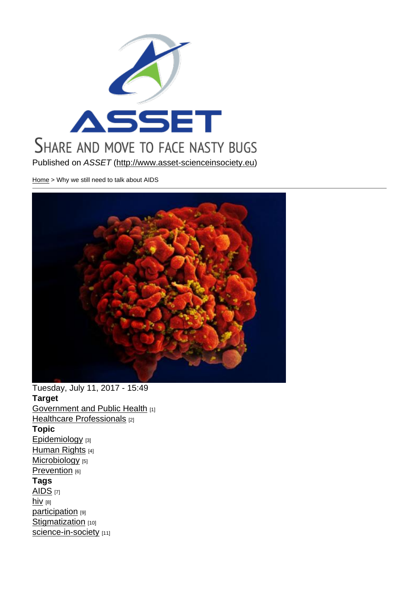Published on ASSET (http://www.asset-scienceinsociety.eu)

Home > Why we still need to talk about AIDS

Tuesday, July 11, 2017 - 15:49 Target **Government and Public Health [1]** Healthcare Professionals [2] Topic [Epidemiology](http://www.asset-scienceinsociety.eu/target/government-and-public-health) [3] [Human Rights](http://www.asset-scienceinsociety.eu/target/healthcare-professionals) [4] Microbiology [5] [Prevention](http://www.asset-scienceinsociety.eu/topic/epidemiology) [6] [Tags](http://www.asset-scienceinsociety.eu/topic/human-rights)   $AIDS$   $[7]$  $hiv$  [8] participation [9] [Stigm](http://www.asset-scienceinsociety.eu/tags/aids)atization [10] [scie](http://www.asset-scienceinsociety.eu/tags/hiv)nce-in-society [11]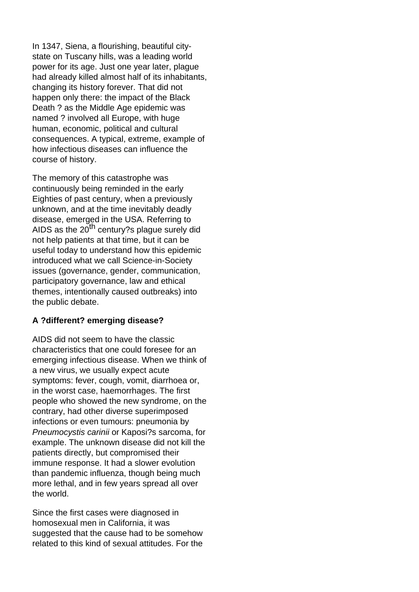In 1347, Siena, a flourishing, beautiful citystate on Tuscany hills, was a leading world power for its age. Just one year later, plague had already killed almost half of its inhabitants, changing its history forever. That did not happen only there: the impact of the Black Death ? as the Middle Age epidemic was named ? involved all Europe, with huge human, economic, political and cultural consequences. A typical, extreme, example of how infectious diseases can influence the course of history.

The memory of this catastrophe was continuously being reminded in the early Eighties of past century, when a previously unknown, and at the time inevitably deadly disease, emerged in the USA. Referring to AIDS as the 20<sup>th</sup> century?s plague surely did not help patients at that time, but it can be useful today to understand how this epidemic introduced what we call Science-in-Society issues (governance, gender, communication, participatory governance, law and ethical themes, intentionally caused outbreaks) into the public debate.

### **A ?different? emerging disease?**

AIDS did not seem to have the classic characteristics that one could foresee for an emerging infectious disease. When we think of a new virus, we usually expect acute symptoms: fever, cough, vomit, diarrhoea or, in the worst case, haemorrhages. The first people who showed the new syndrome, on the contrary, had other diverse superimposed infections or even tumours: pneumonia by Pneumocystis carinii or Kaposi?s sarcoma, for example. The unknown disease did not kill the patients directly, but compromised their immune response. It had a slower evolution than pandemic influenza, though being much more lethal, and in few years spread all over the world.

Since the first cases were diagnosed in homosexual men in California, it was suggested that the cause had to be somehow related to this kind of sexual attitudes. For the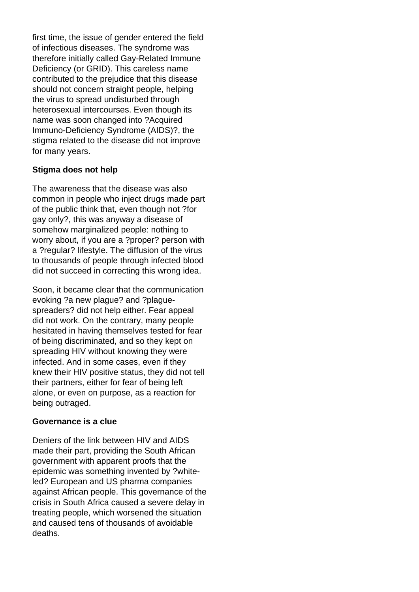first time, the issue of gender entered the field of infectious diseases. The syndrome was therefore initially called Gay-Related Immune Deficiency (or GRID). This careless name contributed to the prejudice that this disease should not concern straight people, helping the virus to spread undisturbed through heterosexual intercourses. Even though its name was soon changed into ?Acquired Immuno-Deficiency Syndrome (AIDS)?, the stigma related to the disease did not improve for many years.

#### **Stigma does not help**

The awareness that the disease was also common in people who inject drugs made part of the public think that, even though not ?for gay only?, this was anyway a disease of somehow marginalized people: nothing to worry about, if you are a ?proper? person with a ?regular? lifestyle. The diffusion of the virus to thousands of people through infected blood did not succeed in correcting this wrong idea.

Soon, it became clear that the communication evoking ?a new plague? and ?plaguespreaders? did not help either. Fear appeal did not work. On the contrary, many people hesitated in having themselves tested for fear of being discriminated, and so they kept on spreading HIV without knowing they were infected. And in some cases, even if they knew their HIV positive status, they did not tell their partners, either for fear of being left alone, or even on purpose, as a reaction for being outraged.

#### **Governance is a clue**

Deniers of the link between HIV and AIDS made their part, providing the South African government with apparent proofs that the epidemic was something invented by ?whiteled? European and US pharma companies against African people. This governance of the crisis in South Africa caused a severe delay in treating people, which worsened the situation and caused tens of thousands of avoidable deaths.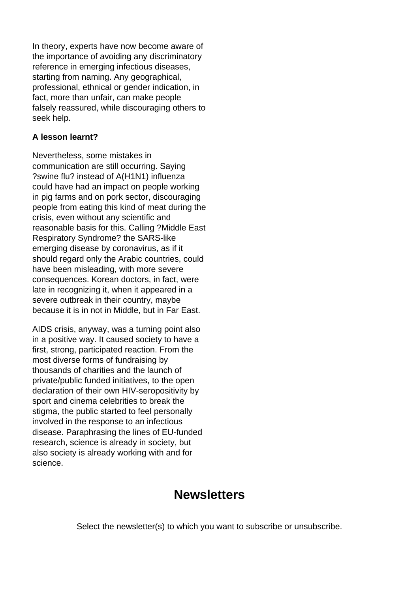In theory, experts have now become aware of the importance of avoiding any discriminatory reference in emerging infectious diseases, starting from naming. Any geographical, professional, ethnical or gender indication, in fact, more than unfair, can make people falsely reassured, while discouraging others to seek help.

### **A lesson learnt?**

Nevertheless, some mistakes in communication are still occurring. Saying ?swine flu? instead of A(H1N1) influenza could have had an impact on people working in pig farms and on pork sector, discouraging people from eating this kind of meat during the crisis, even without any scientific and reasonable basis for this. Calling ?Middle East Respiratory Syndrome? the SARS-like emerging disease by coronavirus, as if it should regard only the Arabic countries, could have been misleading, with more severe consequences. Korean doctors, in fact, were late in recognizing it, when it appeared in a severe outbreak in their country, maybe because it is in not in Middle, but in Far East.

AIDS crisis, anyway, was a turning point also in a positive way. It caused society to have a first, strong, participated reaction. From the most diverse forms of fundraising by thousands of charities and the launch of private/public funded initiatives, to the open declaration of their own HIV-seropositivity by sport and cinema celebrities to break the stigma, the public started to feel personally involved in the response to an infectious disease. Paraphrasing the lines of EU-funded research, science is already in society, but also society is already working with and for science.

## **Newsletters**

Select the newsletter(s) to which you want to subscribe or unsubscribe.